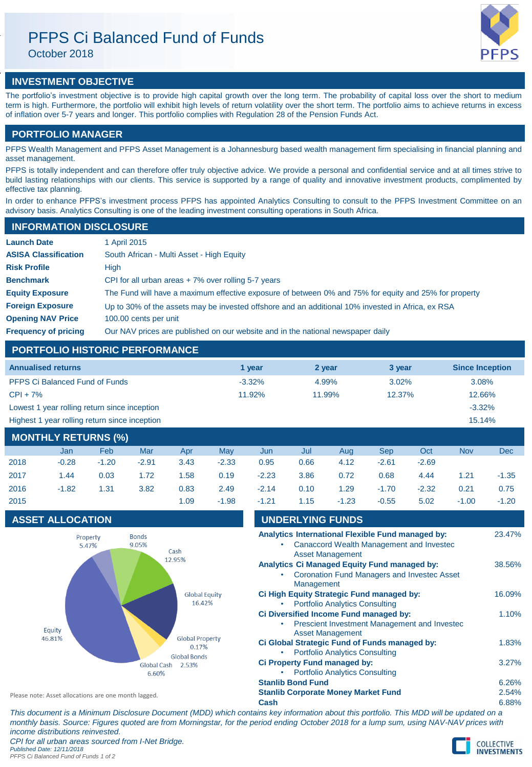# PFPS Ci Balanced Fund of Funds

October 2018

# **INVESTMENT OBJECTIVE**

The portfolio's investment objective is to provide high capital growth over the long term. The probability of capital loss over the short to medium term is high. Furthermore, the portfolio will exhibit high levels of return volatility over the short term. The portfolio aims to achieve returns in excess of inflation over 5-7 years and longer. This portfolio complies with Regulation 28 of the Pension Funds Act.

# **PORTFOLIO MANAGER**

PFPS Wealth Management and PFPS Asset Management is a Johannesburg based wealth management firm specialising in financial planning and asset management.

PFPS is totally independent and can therefore offer truly objective advice. We provide a personal and confidential service and at all times strive to build lasting relationships with our clients. This service is supported by a range of quality and innovative investment products, complimented by effective tax planning.

In order to enhance PFPS's investment process PFPS has appointed Analytics Consulting to consult to the PFPS Investment Committee on an advisory basis. Analytics Consulting is one of the leading investment consulting operations in South Africa.

# **INFORMATION DISCLOSURE**

| <b>Launch Date</b>          | 1 April 2015                                                                                          |
|-----------------------------|-------------------------------------------------------------------------------------------------------|
| <b>ASISA Classification</b> | South African - Multi Asset - High Equity                                                             |
| <b>Risk Profile</b>         | High                                                                                                  |
| <b>Benchmark</b>            | CPI for all urban areas $+7\%$ over rolling 5-7 years                                                 |
| <b>Equity Exposure</b>      | The Fund will have a maximum effective exposure of between 0% and 75% for equity and 25% for property |
| <b>Foreign Exposure</b>     | Up to 30% of the assets may be invested offshore and an additional 10% invested in Africa, ex RSA     |
| <b>Opening NAV Price</b>    | 100.00 cents per unit                                                                                 |
| <b>Frequency of pricing</b> | Our NAV prices are published on our website and in the national newspaper daily                       |

# **PORTFOLIO HISTORIC PERFORMANCE**

| <b>Annualised returns</b>                     | 1 vear    | 2 year | 3 year   | <b>Since Inception</b> |
|-----------------------------------------------|-----------|--------|----------|------------------------|
| <b>PFPS Ci Balanced Fund of Funds</b>         | $-3.32\%$ | 4.99%  | $3.02\%$ | 3.08%                  |
| $CPI + 7%$                                    | 11.92%    | 11.99% | 12.37%   | 12.66%                 |
| Lowest 1 year rolling return since inception  |           |        |          | $-3.32\%$              |
| Highest 1 year rolling return since inception | 15.14%    |        |          |                        |
|                                               |           |        |          |                        |

| <b>MONTHLY RETURNS (%)</b> |         |         |         |      |         |         |      |         |         |         |            |         |
|----------------------------|---------|---------|---------|------|---------|---------|------|---------|---------|---------|------------|---------|
|                            | Jan     | Feb     | Mar     | Apr  | May     | Jun     | Jul  | Aua     | Sep     | Oct     | <b>Nov</b> | Dec     |
| 2018                       | $-0.28$ | $-1.20$ | $-2.91$ | 3.43 | $-2.33$ | 0.95    | 0.66 | 4.12    | $-2.61$ | $-2.69$ |            |         |
| 2017                       | 1.44    | 0.03    | 1.72    | 1.58 | 0.19    | $-2.23$ | 3.86 | 0.72    | 0.68    | 4.44    | 1.21       | $-1.35$ |
| 2016                       | $-1.82$ | 1.31    | 3.82    | 0.83 | 2.49    | $-2.14$ | 0.10 | 1.29    | $-1.70$ | $-2.32$ | 0.21       | 0.75    |
| 2015                       |         |         |         | 1.09 | $-1.98$ | $-1.21$ | 1.15 | $-1.23$ | $-0.55$ | 5.02    | $-1.00$    | $-1.20$ |

# **ASSET ALLOCATION**



| - I . 4 I |                          | - 1.40                                                                | -ט.ט-                                              | J.UZ | $-1.00$ |        |
|-----------|--------------------------|-----------------------------------------------------------------------|----------------------------------------------------|------|---------|--------|
|           | <b>UNDERLYING FUNDS</b>  |                                                                       |                                                    |      |         |        |
|           |                          |                                                                       | Analytics International Flexible Fund managed by:  |      |         | 23.47% |
|           |                          |                                                                       | Canaccord Wealth Management and Invested           |      |         |        |
|           |                          | <b>Asset Management</b>                                               | Analytics Ci Managed Equity Fund managed by:       |      |         | 38.56% |
|           |                          |                                                                       | <b>Coronation Fund Managers and Investec Asset</b> |      |         |        |
|           | Management               |                                                                       |                                                    |      |         |        |
|           |                          |                                                                       | Ci High Equity Strategic Fund managed by:          |      |         | 16.09% |
|           |                          | <b>Portfolio Analytics Consulting</b>                                 | Ci Diversified Income Fund managed by:             |      |         | 1.10%  |
|           |                          |                                                                       | Prescient Investment Management and Investec       |      |         |        |
|           |                          | <b>Asset Management</b>                                               |                                                    |      |         |        |
|           |                          |                                                                       | Ci Global Strategic Fund of Funds managed by:      |      |         | 1.83%  |
|           |                          | <b>Portfolio Analytics Consulting</b><br>Ci Property Fund managed by: |                                                    |      |         | 3.27%  |
|           |                          | <b>Portfolio Analytics Consulting</b>                                 |                                                    |      |         |        |
|           | <b>Stanlib Bond Fund</b> |                                                                       |                                                    |      |         | 6.26%  |
|           |                          | <b>Stanlib Corporate Money Market Fund</b>                            |                                                    |      |         | 2.54%  |
| Cash      |                          |                                                                       |                                                    |      |         | 6.88%  |

*This document is a Minimum Disclosure Document (MDD) which contains key information about this portfolio. This MDD will be updated on a monthly basis. Source: Figures quoted are from Morningstar, for the period ending October 2018 for a lump sum, using NAV-NAV prices with income distributions reinvested. CPI for all urban areas sourced from I-Net Bridge.*

*Published Date: 12/11/2018 PFPS Ci Balanced Fund of Funds 1 of 2*

Please note: Asset allocations are one month lagged.